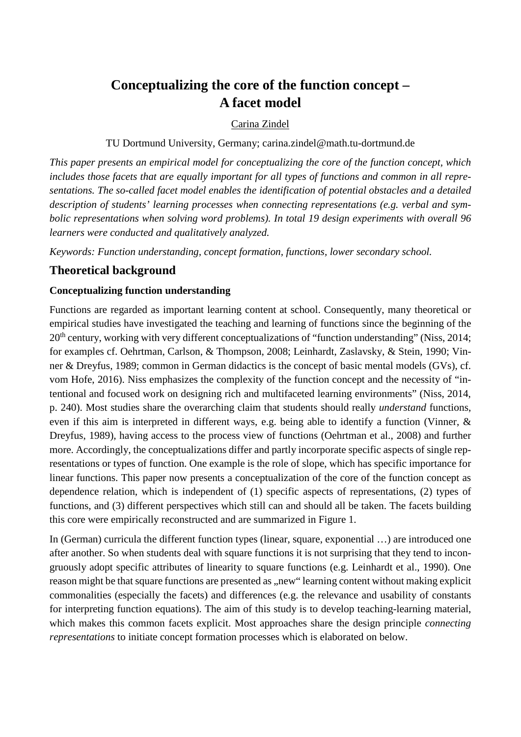# **Conceptualizing the core of the function concept – A facet model**

#### Carina Zindel

TU Dortmund University, Germany; carina.zindel@math.tu-dortmund.de

*This paper presents an empirical model for conceptualizing the core of the function concept, which includes those facets that are equally important for all types of functions and common in all representations. The so-called facet model enables the identification of potential obstacles and a detailed description of students' learning processes when connecting representations (e.g. verbal and symbolic representations when solving word problems). In total 19 design experiments with overall 96 learners were conducted and qualitatively analyzed.*

*Keywords: Function understanding, concept formation, functions, lower secondary school.*

## **Theoretical background**

#### **Conceptualizing function understanding**

Functions are regarded as important learning content at school. Consequently, many theoretical or empirical studies have investigated the teaching and learning of functions since the beginning of the 20<sup>th</sup> century, working with very different conceptualizations of "function understanding" (Niss, 2014; for examples cf. Oehrtman, Carlson, & Thompson, 2008; Leinhardt, Zaslavsky, & Stein, 1990; Vinner & Dreyfus, 1989; common in German didactics is the concept of basic mental models (GVs), cf. vom Hofe, 2016). Niss emphasizes the complexity of the function concept and the necessity of "intentional and focused work on designing rich and multifaceted learning environments" (Niss, 2014, p. 240). Most studies share the overarching claim that students should really *understand* functions, even if this aim is interpreted in different ways, e.g. being able to identify a function (Vinner, & Dreyfus, 1989), having access to the process view of functions (Oehrtman et al., 2008) and further more. Accordingly, the conceptualizations differ and partly incorporate specific aspects of single representations or types of function. One example is the role of slope, which has specific importance for linear functions. This paper now presents a conceptualization of the core of the function concept as dependence relation, which is independent of (1) specific aspects of representations, (2) types of functions, and (3) different perspectives which still can and should all be taken. The facets building this core were empirically reconstructed and are summarized in Figure 1.

In (German) curricula the different function types (linear, square, exponential …) are introduced one after another. So when students deal with square functions it is not surprising that they tend to incongruously adopt specific attributes of linearity to square functions (e.g. Leinhardt et al., 1990). One reason might be that square functions are presented as "new" learning content without making explicit commonalities (especially the facets) and differences (e.g. the relevance and usability of constants for interpreting function equations). The aim of this study is to develop teaching-learning material, which makes this common facets explicit. Most approaches share the design principle *connecting representations* to initiate concept formation processes which is elaborated on below.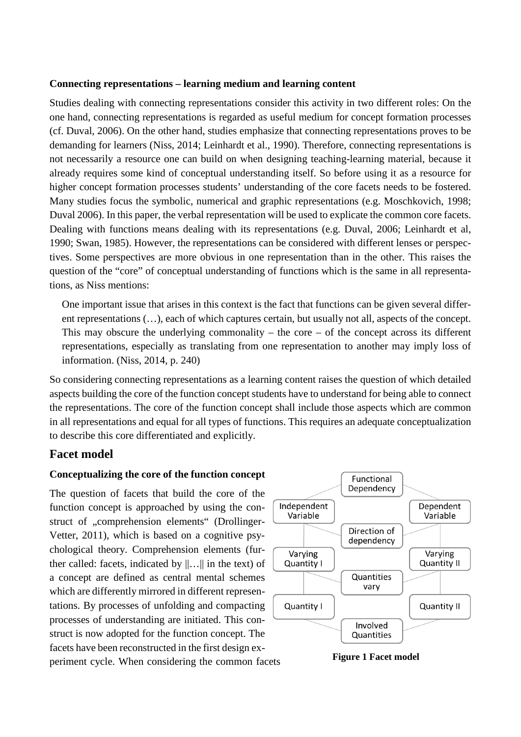#### **Connecting representations – learning medium and learning content**

Studies dealing with connecting representations consider this activity in two different roles: On the one hand, connecting representations is regarded as useful medium for concept formation processes (cf. Duval, 2006). On the other hand, studies emphasize that connecting representations proves to be demanding for learners (Niss, 2014; Leinhardt et al., 1990). Therefore, connecting representations is not necessarily a resource one can build on when designing teaching-learning material, because it already requires some kind of conceptual understanding itself. So before using it as a resource for higher concept formation processes students' understanding of the core facets needs to be fostered. Many studies focus the symbolic, numerical and graphic representations (e.g. Moschkovich, 1998; Duval 2006). In this paper, the verbal representation will be used to explicate the common core facets. Dealing with functions means dealing with its representations (e.g. Duval, 2006; Leinhardt et al, 1990; Swan, 1985). However, the representations can be considered with different lenses or perspectives. Some perspectives are more obvious in one representation than in the other. This raises the question of the "core" of conceptual understanding of functions which is the same in all representations, as Niss mentions:

One important issue that arises in this context is the fact that functions can be given several different representations (…), each of which captures certain, but usually not all, aspects of the concept. This may obscure the underlying commonality – the core – of the concept across its different representations, especially as translating from one representation to another may imply loss of information. (Niss, 2014, p. 240)

So considering connecting representations as a learning content raises the question of which detailed aspects building the core of the function concept students have to understand for being able to connect the representations. The core of the function concept shall include those aspects which are common in all representations and equal for all types of functions. This requires an adequate conceptualization to describe this core differentiated and explicitly.

## **Facet model**

#### **Conceptualizing the core of the function concept**

The question of facets that build the core of the function concept is approached by using the construct of "comprehension elements" (Drollinger-Vetter, 2011), which is based on a cognitive psychological theory. Comprehension elements (further called: facets, indicated by  $\|\ldots\|$  in the text) of a concept are defined as central mental schemes which are differently mirrored in different representations. By processes of unfolding and compacting processes of understanding are initiated. This construct is now adopted for the function concept. The facets have been reconstructed in the first design experiment cycle. When considering the common facets **Figure 1 Facet model**

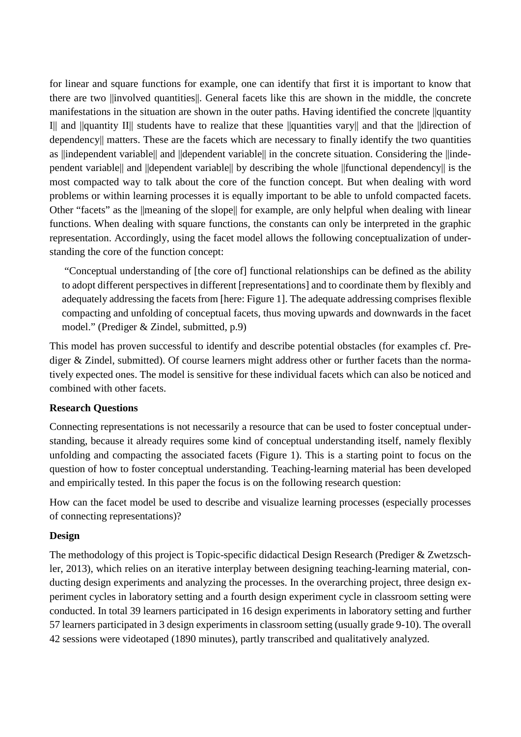for linear and square functions for example, one can identify that first it is important to know that there are two ||involved quantities||. General facets like this are shown in the middle, the concrete manifestations in the situation are shown in the outer paths. Having identified the concrete ||quantity I|| and ||quantity II|| students have to realize that these ||quantities vary|| and that the ||direction of dependency|| matters. These are the facets which are necessary to finally identify the two quantities as ||independent variable|| and ||dependent variable|| in the concrete situation. Considering the ||independent variable|| and ||dependent variable|| by describing the whole ||functional dependency|| is the most compacted way to talk about the core of the function concept. But when dealing with word problems or within learning processes it is equally important to be able to unfold compacted facets. Other "facets" as the ||meaning of the slope|| for example, are only helpful when dealing with linear functions. When dealing with square functions, the constants can only be interpreted in the graphic representation. Accordingly, using the facet model allows the following conceptualization of understanding the core of the function concept:

"Conceptual understanding of [the core of] functional relationships can be defined as the ability to adopt different perspectives in different [representations] and to coordinate them by flexibly and adequately addressing the facets from [here: Figure 1]. The adequate addressing comprises flexible compacting and unfolding of conceptual facets, thus moving upwards and downwards in the facet model." (Prediger & Zindel, submitted, p.9)

This model has proven successful to identify and describe potential obstacles (for examples cf. Prediger & Zindel, submitted). Of course learners might address other or further facets than the normatively expected ones. The model is sensitive for these individual facets which can also be noticed and combined with other facets.

#### **Research Questions**

Connecting representations is not necessarily a resource that can be used to foster conceptual understanding, because it already requires some kind of conceptual understanding itself, namely flexibly unfolding and compacting the associated facets (Figure 1). This is a starting point to focus on the question of how to foster conceptual understanding. Teaching-learning material has been developed and empirically tested. In this paper the focus is on the following research question:

How can the facet model be used to describe and visualize learning processes (especially processes of connecting representations)?

#### **Design**

The methodology of this project is Topic-specific didactical Design Research (Prediger & Zwetzschler, 2013), which relies on an iterative interplay between designing teaching-learning material, conducting design experiments and analyzing the processes. In the overarching project, three design experiment cycles in laboratory setting and a fourth design experiment cycle in classroom setting were conducted. In total 39 learners participated in 16 design experiments in laboratory setting and further 57 learners participated in 3 design experiments in classroom setting (usually grade 9-10). The overall 42 sessions were videotaped (1890 minutes), partly transcribed and qualitatively analyzed.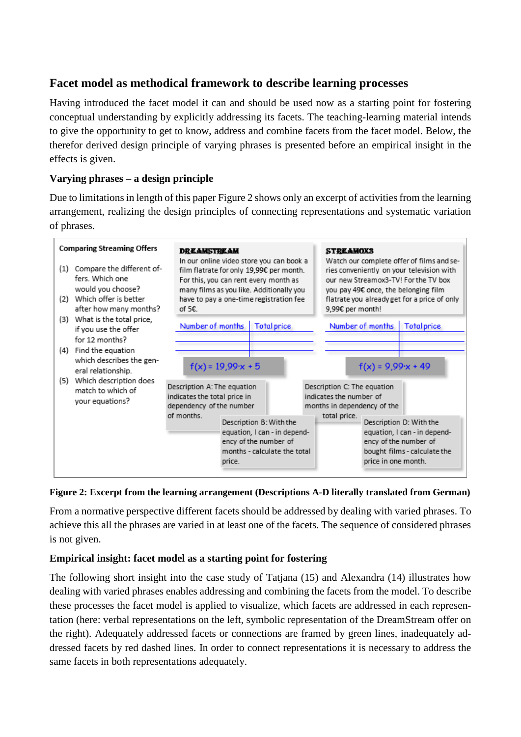# **Facet model as methodical framework to describe learning processes**

Having introduced the facet model it can and should be used now as a starting point for fostering conceptual understanding by explicitly addressing its facets. The teaching-learning material intends to give the opportunity to get to know, address and combine facets from the facet model. Below, the therefor derived design principle of varying phrases is presented before an empirical insight in the effects is given.

## **Varying phrases – a design principle**

Due to limitations in length of this paper Figure 2 shows only an excerpt of activities from the learning arrangement, realizing the design principles of connecting representations and systematic variation of phrases.



#### **Figure 2: Excerpt from the learning arrangement (Descriptions A-D literally translated from German)**

From a normative perspective different facets should be addressed by dealing with varied phrases. To achieve this all the phrases are varied in at least one of the facets. The sequence of considered phrases is not given.

## **Empirical insight: facet model as a starting point for fostering**

The following short insight into the case study of Tatjana (15) and Alexandra (14) illustrates how dealing with varied phrases enables addressing and combining the facets from the model. To describe these processes the facet model is applied to visualize, which facets are addressed in each representation (here: verbal representations on the left, symbolic representation of the DreamStream offer on the right). Adequately addressed facets or connections are framed by green lines, inadequately addressed facets by red dashed lines. In order to connect representations it is necessary to address the same facets in both representations adequately.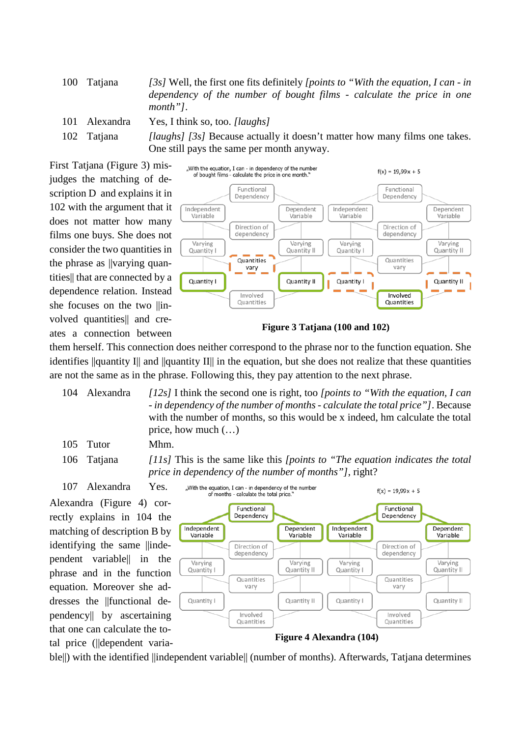100 Tatjana *[3s]* Well, the first one fits definitely *[points to "With the equation, I can - in dependency of the number of bought films - calculate the price in one month"]*.

- 101 Alexandra Yes, I think so, too. *[laughs]*
- 

102 Tatjana *[laughs] [3s]* Because actually it doesn't matter how many films one takes. One still pays the same per month anyway.

First Tatjana (Figure 3) misjudges the matching of description D and explains it in 102 with the argument that it does not matter how many films one buys. She does not consider the two quantities in the phrase as ||varying quantities|| that are connected by a dependence relation. Instead she focuses on the two  $||$ involved quantities|| and creates a connection between



**Figure 3 Tatjana (100 and 102)**

them herself. This connection does neither correspond to the phrase nor to the function equation. She identifies  $\|$ quantity I $\|$  and  $\|$ quantity II $\|$  in the equation, but she does not realize that these quantities are not the same as in the phrase. Following this, they pay attention to the next phrase.

104 Alexandra *[12s]* I think the second one is right, too *[points to "With the equation, I can - in dependency of the number of months - calculate the total price"]*. Because with the number of months, so this would be x indeed, hm calculate the total price, how much (…)

"With the equation, I can - in dependency of the number

105 Tutor Mhm.

107 Alexandra Yes. Alexandra (Figure 4) correctly explains in 104 the matching of description B by identifying the same ||independent variable|| in the phrase and in the function equation. Moreover she addresses the ||functional dependency|| by ascertaining that one can calculate the total price (||dependent varia-

106 Tatjana *[11s]* This is the same like this *[points to "The equation indicates the total price in dependency of the number of months"]*, right?



ble||) with the identified ||independent variable|| (number of months). Afterwards, Tatjana determines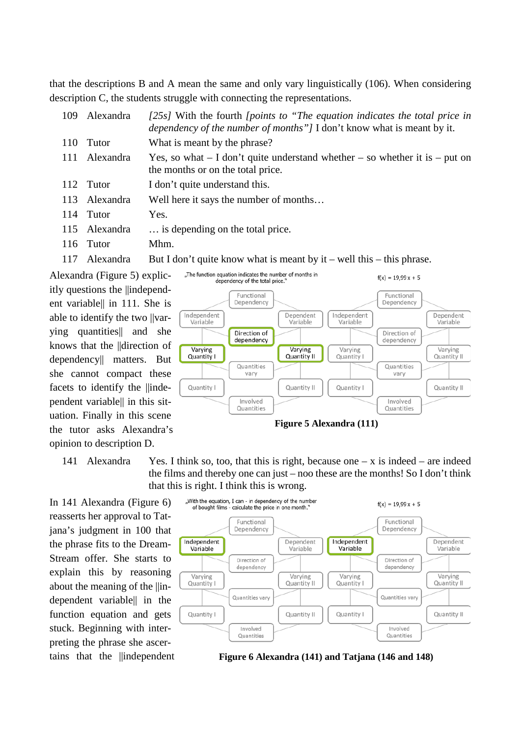that the descriptions B and A mean the same and only vary linguistically (106). When considering description C, the students struggle with connecting the representations.

| 109 | Alexandra     | $[25s]$ With the fourth <i>[points to "The equation indicates the total price in</i><br><i>dependency of the number of months"]</i> I don't know what is meant by it. |
|-----|---------------|-----------------------------------------------------------------------------------------------------------------------------------------------------------------------|
| 110 | Tutor         | What is meant by the phrase?                                                                                                                                          |
| 111 | Alexandra     | Yes, so what $- I$ don't quite understand whether $-$ so whether it is $-$ put on<br>the months or on the total price.                                                |
|     | 112 Tutor     | I don't quite understand this.                                                                                                                                        |
|     | 113 Alexandra | Well here it says the number of months                                                                                                                                |
|     | 114 Tutor     | Yes.                                                                                                                                                                  |
|     | 115 Alexandra | is depending on the total price.                                                                                                                                      |
|     | 116 Tutor     | Mhm.                                                                                                                                                                  |
|     |               |                                                                                                                                                                       |

117 Alexandra But I don't quite know what is meant by it – well this – this phrase.

Alexandra (Figure 5) explicitly questions the ||independent variable|| in 111. She is able to identify the two ||varying quantities|| and she knows that the ||direction of dependency|| matters. But she cannot compact these facets to identify the ||inde-

pendent variable|| in this situation. Finally in this scene the tutor asks Alexandra's opinion to description D.

In 141 Alexandra (Figure 6) reasserts her approval to Tatjana's judgment in 100 that the phrase fits to the Dream-Stream offer. She starts to explain this by reasoning about the meaning of the ||independent variable|| in the function equation and gets stuck. Beginning with interpreting the phrase she ascertains that the *||independent* 



141 Alexandra Yes. I think so, too, that this is right, because one  $-x$  is indeed – are indeed the films and thereby one can just – noo these are the months! So I don't think that this is right. I think this is wrong.



**Figure 6 Alexandra (141) and Tatjana (146 and 148)**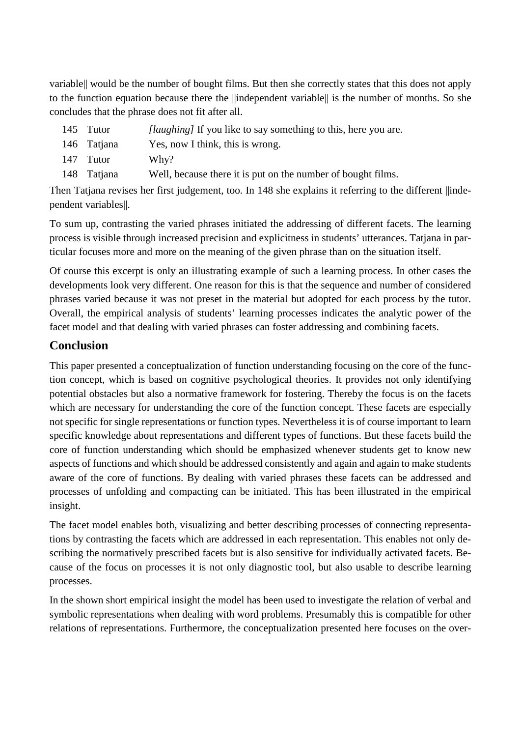variable|| would be the number of bought films. But then she correctly states that this does not apply to the function equation because there the ||independent variable|| is the number of months. So she concludes that the phrase does not fit after all.

- 145 Tutor *[laughing]* If you like to say something to this, here you are.
- 146 Tatjana Yes, now I think, this is wrong.
- 147 Tutor Why?
- 148 Tatjana Well, because there it is put on the number of bought films.

Then Tatjana revises her first judgement, too. In 148 she explains it referring to the different ||independent variables||.

To sum up, contrasting the varied phrases initiated the addressing of different facets. The learning process is visible through increased precision and explicitness in students' utterances. Tatjana in particular focuses more and more on the meaning of the given phrase than on the situation itself.

Of course this excerpt is only an illustrating example of such a learning process. In other cases the developments look very different. One reason for this is that the sequence and number of considered phrases varied because it was not preset in the material but adopted for each process by the tutor. Overall, the empirical analysis of students' learning processes indicates the analytic power of the facet model and that dealing with varied phrases can foster addressing and combining facets.

# **Conclusion**

This paper presented a conceptualization of function understanding focusing on the core of the function concept, which is based on cognitive psychological theories. It provides not only identifying potential obstacles but also a normative framework for fostering. Thereby the focus is on the facets which are necessary for understanding the core of the function concept. These facets are especially not specific for single representations or function types. Nevertheless it is of course important to learn specific knowledge about representations and different types of functions. But these facets build the core of function understanding which should be emphasized whenever students get to know new aspects of functions and which should be addressed consistently and again and again to make students aware of the core of functions. By dealing with varied phrases these facets can be addressed and processes of unfolding and compacting can be initiated. This has been illustrated in the empirical insight.

The facet model enables both, visualizing and better describing processes of connecting representations by contrasting the facets which are addressed in each representation. This enables not only describing the normatively prescribed facets but is also sensitive for individually activated facets. Because of the focus on processes it is not only diagnostic tool, but also usable to describe learning processes.

In the shown short empirical insight the model has been used to investigate the relation of verbal and symbolic representations when dealing with word problems. Presumably this is compatible for other relations of representations. Furthermore, the conceptualization presented here focuses on the over-